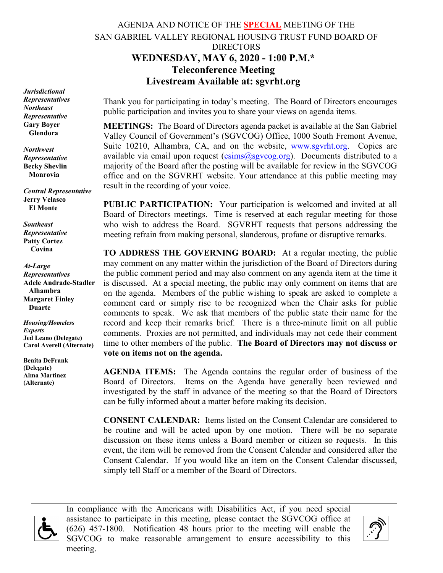# AGENDA AND NOTICE OF THE **SPECIAL** MEETING OF THE SAN GABRIEL VALLEY REGIONAL HOUSING TRUST FUND BOARD OF DIRECTORS **WEDNESDAY, MAY 6, 2020 - 1:00 P.M.\* Teleconference Meeting Livestream Available at: sgvrht.org**

*Jurisdictional Representatives Northeast Representative* **Gary Boyer Glendora**

*Northwest Representative* **Becky Shevlin Monrovia**

*Central Representative* **Jerry Velasco El Monte**

*Southeast Representative* **Patty Cortez Covina**

*At-Large Representatives* **Adele Andrade-Stadler Alhambra Margaret Finley Duarte**

*Housing/Homeless Experts* **Jed Leano (Delegate) Carol Averell (Alternate)**

**Benita DeFrank (Delegate) Alma Martinez (Alternate)**

Thank you for participating in today's meeting. The Board of Directors encourages public participation and invites you to share your views on agenda items.

**MEETINGS:** The Board of Directors agenda packet is available at the San Gabriel Valley Council of Government's (SGVCOG) Office, 1000 South Fremont Avenue, Suite 10210, Alhambra, CA, and on the website, [www.sgvrht.org.](http://www.sgvrht.org/) Copies are available via email upon request  $(c\sin s(\omega s g)$  org). Documents distributed to a majority of the Board after the posting will be available for review in the SGVCOG office and on the SGVRHT website. Your attendance at this public meeting may result in the recording of your voice.

**PUBLIC PARTICIPATION:** Your participation is welcomed and invited at all Board of Directors meetings. Time is reserved at each regular meeting for those who wish to address the Board. SGVRHT requests that persons addressing the meeting refrain from making personal, slanderous, profane or disruptive remarks.

**TO ADDRESS THE GOVERNING BOARD:** At a regular meeting, the public may comment on any matter within the jurisdiction of the Board of Directors during the public comment period and may also comment on any agenda item at the time it is discussed. At a special meeting, the public may only comment on items that are on the agenda. Members of the public wishing to speak are asked to complete a comment card or simply rise to be recognized when the Chair asks for public comments to speak. We ask that members of the public state their name for the record and keep their remarks brief. There is a three-minute limit on all public comments.Proxies are not permitted, and individuals may not cede their comment time to other members of the public. **The Board of Directors may not discuss or vote on items not on the agenda.**

**AGENDA ITEMS:** The Agenda contains the regular order of business of the Board of Directors. Items on the Agenda have generally been reviewed and investigated by the staff in advance of the meeting so that the Board of Directors can be fully informed about a matter before making its decision.

**CONSENT CALENDAR:** Items listed on the Consent Calendar are considered to be routine and will be acted upon by one motion. There will be no separate discussion on these items unless a Board member or citizen so requests. In this event, the item will be removed from the Consent Calendar and considered after the Consent Calendar. If you would like an item on the Consent Calendar discussed, simply tell Staff or a member of the Board of Directors.



In compliance with the Americans with Disabilities Act, if you need special assistance to participate in this meeting, please contact the SGVCOG office at (626) 457-1800. Notification 48 hours prior to the meeting will enable the SGVCOG to make reasonable arrangement to ensure accessibility to this meeting.

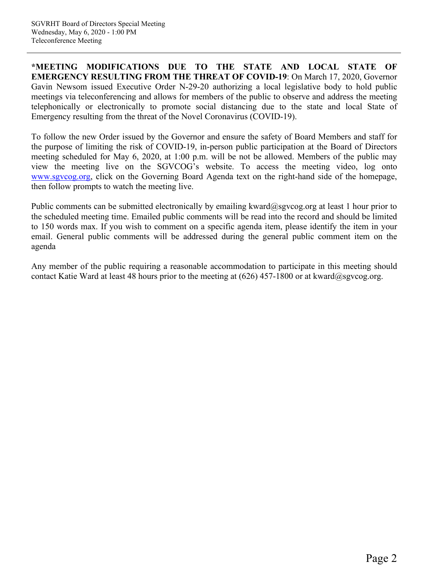**\*MEETING MODIFICATIONS DUE TO THE STATE AND LOCAL STATE OF EMERGENCY RESULTING FROM THE THREAT OF COVID-19**: On March 17, 2020, Governor Gavin Newsom issued Executive Order N-29-20 authorizing a local legislative body to hold public meetings via teleconferencing and allows for members of the public to observe and address the meeting telephonically or electronically to promote social distancing due to the state and local State of Emergency resulting from the threat of the Novel Coronavirus (COVID-19).

To follow the new Order issued by the Governor and ensure the safety of Board Members and staff for the purpose of limiting the risk of COVID-19, in-person public participation at the Board of Directors meeting scheduled for May 6, 2020, at 1:00 p.m. will be not be allowed. Members of the public may view the meeting live on the SGVCOG's website. To access the meeting video, log onto [www.sgvcog.org,](http://www.sgvcog.org/) click on the Governing Board Agenda text on the right-hand side of the homepage, then follow prompts to watch the meeting live.

Public comments can be submitted electronically by emailing kward@sgvcog.org at least 1 hour prior to the scheduled meeting time. Emailed public comments will be read into the record and should be limited to 150 words max. If you wish to comment on a specific agenda item, please identify the item in your email. General public comments will be addressed during the general public comment item on the agenda

Any member of the public requiring a reasonable accommodation to participate in this meeting should contact Katie Ward at least 48 hours prior to the meeting at  $(626)$  457-1800 or at kward@sgvcog.org.